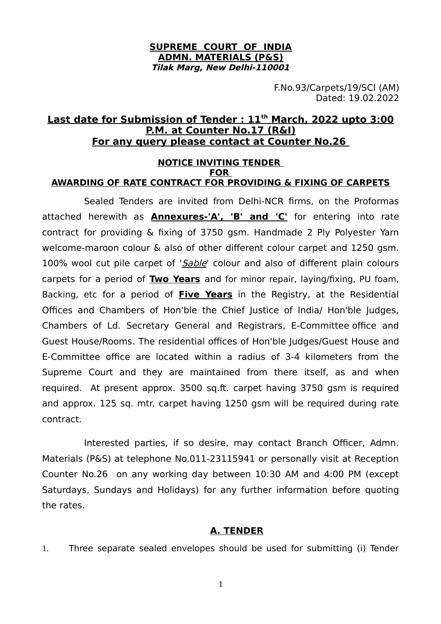#### **SUPREME COURT OF INDIA ADMN. MATERIALS (P&S) Tilak Marg, New Delhi-110001**

F.No.93/Carpets/19/SCI (AM) Dated: 19.02.2022

## **Last date for Submission of Tender : 11th March, 2022 upto 3:00 P.M. at Counter No.17 (R&I) For any query please contact at Counter No.26**

#### **NOTICE INVITING TENDER FOR AWARDING OF RATE CONTRACT FOR PROVIDING & FIXING OF CARPETS**

Sealed Tenders are invited from Delhi-NCR firms, on the Proformas attached herewith as **Annexures-'A', 'B' and 'C'** for entering into rate contract for providing & fixing of 3750 gsm. Handmade 2 Ply Polyester Yarn welcome-maroon colour & also of other different colour carpet and 1250 gsm. 100% wool cut pile carpet of 'Sable' colour and also of different plain colours carpets for a period of **Two Years** and for minor repair, laying/fixing, PU foam, Backing, etc for a period of **Five Years** in the Registry, at the Residential Offices and Chambers of Hon'ble the Chief Justice of India/ Hon'ble Judges, Chambers of Ld. Secretary General and Registrars, E-Committee office and Guest House/Rooms. The residential offices of Hon'ble Judges/Guest House and E-Committee office are located within a radius of 3-4 kilometers from the Supreme Court and they are maintained from there itself, as and when required. At present approx. 3500 sq.ft. carpet having 3750 gsm is required and approx. 125 sq. mtr. carpet having 1250 gsm will be required during rate contract.

Interested parties, if so desire, may contact Branch Officer, Admn. Materials (P&S) at telephone No.011-23115941 or personally visit at Reception Counter No.26 on any working day between 10:30 AM and 4:00 PM (except Saturdays, Sundays and Holidays) for any further information before quoting the rates.

### **A. TENDER**

1. Three separate sealed envelopes should be used for submitting (i) Tender

1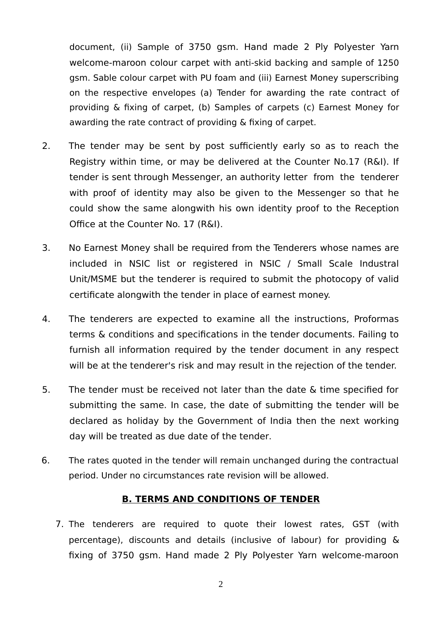document, (ii) Sample of 3750 gsm. Hand made 2 Ply Polyester Yarn welcome-maroon colour carpet with anti-skid backing and sample of 1250 gsm. Sable colour carpet with PU foam and (iii) Earnest Money superscribing on the respective envelopes (a) Tender for awarding the rate contract of providing & fixing of carpet, (b) Samples of carpets (c) Earnest Money for awarding the rate contract of providing & fixing of carpet.

- 2. The tender may be sent by post sufficiently early so as to reach the Registry within time, or may be delivered at the Counter No.17 (R&I). If tender is sent through Messenger, an authority letter from the tenderer with proof of identity may also be given to the Messenger so that he could show the same alongwith his own identity proof to the Reception Office at the Counter No. 17 (R&I).
- 3. No Earnest Money shall be required from the Tenderers whose names are included in NSIC list or registered in NSIC / Small Scale Industral Unit/MSME but the tenderer is required to submit the photocopy of valid certificate alongwith the tender in place of earnest money.
- 4. The tenderers are expected to examine all the instructions, Proformas terms & conditions and specifications in the tender documents. Failing to furnish all information required by the tender document in any respect will be at the tenderer's risk and may result in the rejection of the tender.
- 5. The tender must be received not later than the date & time specified for submitting the same. In case, the date of submitting the tender will be declared as holiday by the Government of India then the next working day will be treated as due date of the tender.
- 6. The rates quoted in the tender will remain unchanged during the contractual period. Under no circumstances rate revision will be allowed.

## **B. TERMS AND CONDITIONS OF TENDER**

7. The tenderers are required to quote their lowest rates, GST (with percentage), discounts and details (inclusive of labour) for providing & fixing of 3750 gsm. Hand made 2 Ply Polyester Yarn welcome-maroon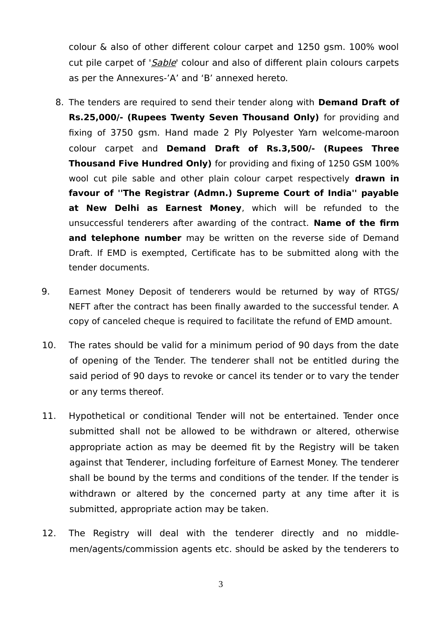colour & also of other different colour carpet and 1250 gsm. 100% wool cut pile carpet of 'Sable' colour and also of different plain colours carpets as per the Annexures-'A' and 'B' annexed hereto.

- 8. The tenders are required to send their tender along with **Demand Draft of Rs.25,000/- (Rupees Twenty Seven Thousand Only)** for providing and fixing of 3750 gsm. Hand made 2 Ply Polyester Yarn welcome-maroon colour carpet and **Demand Draft of Rs.3,500/- (Rupees Three Thousand Five Hundred Only)** for providing and fixing of 1250 GSM 100% wool cut pile sable and other plain colour carpet respectively **drawn in favour of ''The Registrar (Admn.) Supreme Court of India'' payable at New Delhi as Earnest Money**, which will be refunded to the unsuccessful tenderers after awarding of the contract. **Name of the firm** and telephone number may be written on the reverse side of Demand Draft. If EMD is exempted, Certificate has to be submitted along with the tender documents.
- 9. Earnest Money Deposit of tenderers would be returned by way of RTGS/ NEFT after the contract has been finally awarded to the successful tender. A copy of canceled cheque is required to facilitate the refund of EMD amount.
- 10. The rates should be valid for a minimum period of 90 days from the date of opening of the Tender. The tenderer shall not be entitled during the said period of 90 days to revoke or cancel its tender or to vary the tender or any terms thereof.
- 11. Hypothetical or conditional Tender will not be entertained. Tender once submitted shall not be allowed to be withdrawn or altered, otherwise appropriate action as may be deemed fit by the Registry will be taken against that Tenderer, including forfeiture of Earnest Money. The tenderer shall be bound by the terms and conditions of the tender. If the tender is withdrawn or altered by the concerned party at any time after it is submitted, appropriate action may be taken.
- 12. The Registry will deal with the tenderer directly and no middlemen/agents/commission agents etc. should be asked by the tenderers to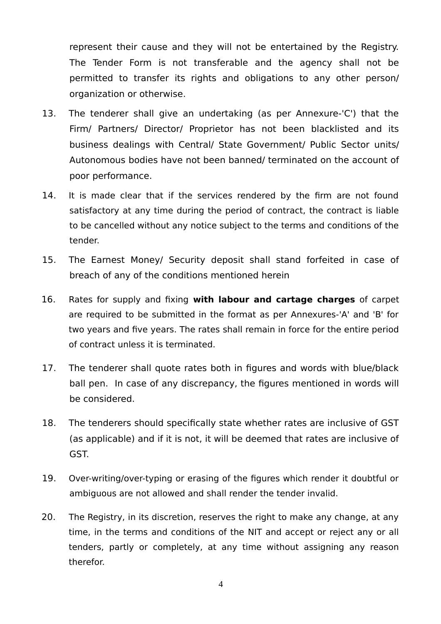represent their cause and they will not be entertained by the Registry. The Tender Form is not transferable and the agency shall not be permitted to transfer its rights and obligations to any other person/ organization or otherwise.

- 13. The tenderer shall give an undertaking (as per Annexure-'C') that the Firm/ Partners/ Director/ Proprietor has not been blacklisted and its business dealings with Central/ State Government/ Public Sector units/ Autonomous bodies have not been banned/ terminated on the account of poor performance.
- 14. It is made clear that if the services rendered by the firm are not found satisfactory at any time during the period of contract, the contract is liable to be cancelled without any notice subject to the terms and conditions of the tender.
- 15. The Earnest Money/ Security deposit shall stand forfeited in case of breach of any of the conditions mentioned herein
- 16. Rates for supply and fixing **with labour and cartage charges** of carpet are required to be submitted in the format as per Annexures-'A' and 'B' for two years and five years. The rates shall remain in force for the entire period of contract unless it is terminated.
- 17. The tenderer shall quote rates both in figures and words with blue/black ball pen. In case of any discrepancy, the figures mentioned in words will be considered.
- 18. The tenderers should specifically state whether rates are inclusive of GST (as applicable) and if it is not, it will be deemed that rates are inclusive of GST.
- 19. Over-writing/over-typing or erasing of the figures which render it doubtful or ambiguous are not allowed and shall render the tender invalid.
- 20. The Registry, in its discretion, reserves the right to make any change, at any time, in the terms and conditions of the NIT and accept or reject any or all tenders, partly or completely, at any time without assigning any reason therefor.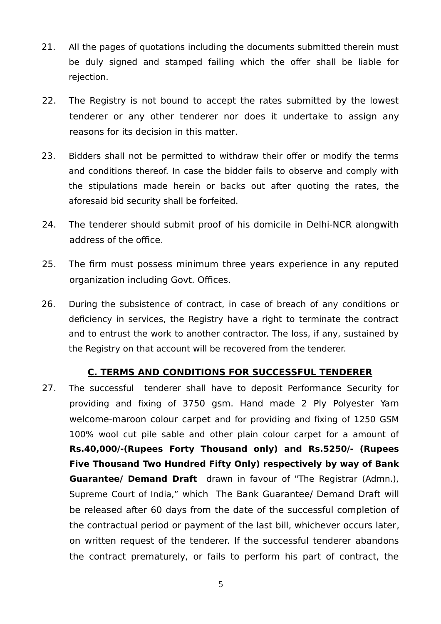- 21. All the pages of quotations including the documents submitted therein must be duly signed and stamped failing which the offer shall be liable for rejection.
- 22. The Registry is not bound to accept the rates submitted by the lowest tenderer or any other tenderer nor does it undertake to assign any reasons for its decision in this matter.
- 23. Bidders shall not be permitted to withdraw their offer or modify the terms and conditions thereof. In case the bidder fails to observe and comply with the stipulations made herein or backs out after quoting the rates, the aforesaid bid security shall be forfeited.
- 24. The tenderer should submit proof of his domicile in Delhi-NCR alongwith address of the office.
- 25. The firm must possess minimum three years experience in any reputed organization including Govt. Offices.
- 26. During the subsistence of contract, in case of breach of any conditions or deficiency in services, the Registry have a right to terminate the contract and to entrust the work to another contractor. The loss, if any, sustained by the Registry on that account will be recovered from the tenderer.

### **C. TERMS AND CONDITIONS FOR SUCCESSFUL TENDERER**

27. The successful tenderer shall have to deposit Performance Security for providing and fixing of 3750 gsm. Hand made 2 Ply Polyester Yarn welcome-maroon colour carpet and for providing and fixing of 1250 GSM 100% wool cut pile sable and other plain colour carpet for a amount of **Rs.40,000/-(Rupees Forty Thousand only) and Rs.5250/- (Rupees Five Thousand Two Hundred Fifty Only) respectively by way of Bank Guarantee/ Demand Draft** drawn in favour of "The Registrar (Admn.), Supreme Court of India," which The Bank Guarantee/ Demand Draft will be released after 60 days from the date of the successful completion of the contractual period or payment of the last bill, whichever occurs later, on written request of the tenderer. If the successful tenderer abandons the contract prematurely, or fails to perform his part of contract, the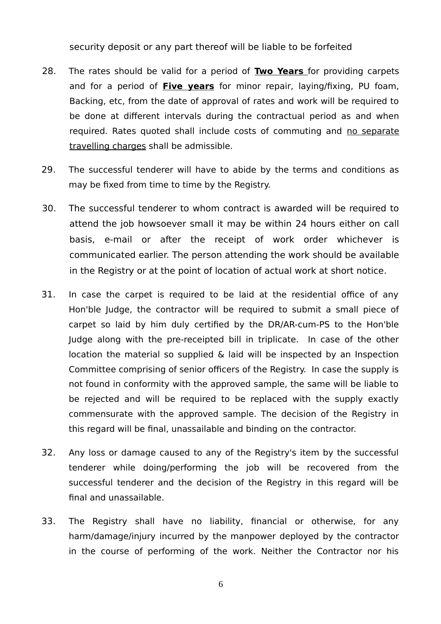security deposit or any part thereof will be liable to be forfeited

- 28. The rates should be valid for a period of **Two Years** for providing carpets and for a period of **Five years** for minor repair, laying/fixing, PU foam, Backing, etc, from the date of approval of rates and work will be required to be done at different intervals during the contractual period as and when required. Rates quoted shall include costs of commuting and no separate travelling charges shall be admissible.
- 29. The successful tenderer will have to abide by the terms and conditions as may be fixed from time to time by the Registry.
- 30. The successful tenderer to whom contract is awarded will be required to attend the job howsoever small it may be within 24 hours either on call basis, e-mail or after the receipt of work order whichever is communicated earlier. The person attending the work should be available in the Registry or at the point of location of actual work at short notice.
- 31. In case the carpet is required to be laid at the residential office of any Hon'ble Judge, the contractor will be required to submit a small piece of carpet so laid by him duly certified by the DR/AR-cum-PS to the Hon'ble Judge along with the pre-receipted bill in triplicate. In case of the other location the material so supplied & laid will be inspected by an Inspection Committee comprising of senior officers of the Registry. In case the supply is not found in conformity with the approved sample, the same will be liable to be rejected and will be required to be replaced with the supply exactly commensurate with the approved sample. The decision of the Registry in this regard will be final, unassailable and binding on the contractor.
- 32. Any loss or damage caused to any of the Registry's item by the successful tenderer while doing/performing the job will be recovered from the successful tenderer and the decision of the Registry in this regard will be final and unassailable.
- 33. The Registry shall have no liability, financial or otherwise, for any harm/damage/injury incurred by the manpower deployed by the contractor in the course of performing of the work. Neither the Contractor nor his

6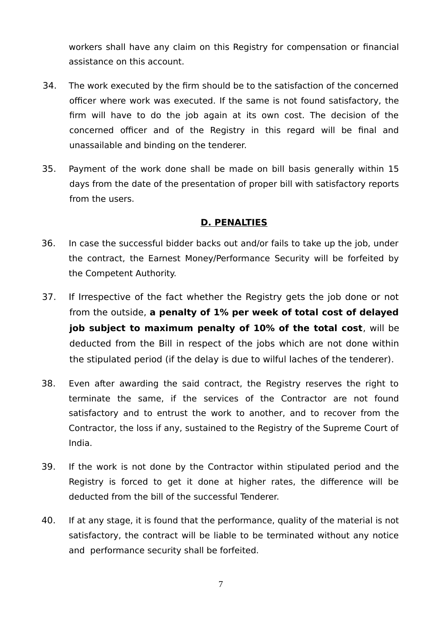workers shall have any claim on this Registry for compensation or financial assistance on this account.

- 34. The work executed by the firm should be to the satisfaction of the concerned officer where work was executed. If the same is not found satisfactory, the firm will have to do the job again at its own cost. The decision of the concerned officer and of the Registry in this regard will be final and unassailable and binding on the tenderer.
- 35. Payment of the work done shall be made on bill basis generally within 15 days from the date of the presentation of proper bill with satisfactory reports from the users.

## **D. PENALTIES**

- 36. In case the successful bidder backs out and/or fails to take up the job, under the contract, the Earnest Money/Performance Security will be forfeited by the Competent Authority.
- 37. If Irrespective of the fact whether the Registry gets the job done or not from the outside, **a penalty of 1% per week of total cost of delayed job subject to maximum penalty of 10% of the total cost**, will be deducted from the Bill in respect of the jobs which are not done within the stipulated period (if the delay is due to wilful laches of the tenderer).
- 38. Even after awarding the said contract, the Registry reserves the right to terminate the same, if the services of the Contractor are not found satisfactory and to entrust the work to another, and to recover from the Contractor, the loss if any, sustained to the Registry of the Supreme Court of India.
- 39. If the work is not done by the Contractor within stipulated period and the Registry is forced to get it done at higher rates, the difference will be deducted from the bill of the successful Tenderer.
- 40. If at any stage, it is found that the performance, quality of the material is not satisfactory, the contract will be liable to be terminated without any notice and performance security shall be forfeited.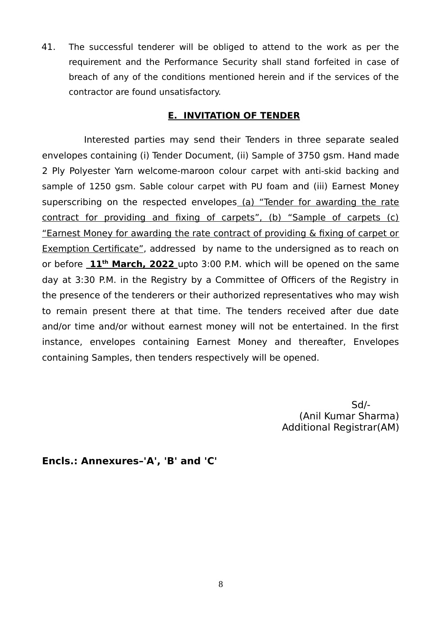41. The successful tenderer will be obliged to attend to the work as per the requirement and the Performance Security shall stand forfeited in case of breach of any of the conditions mentioned herein and if the services of the contractor are found unsatisfactory.

## **E. INVITATION OF TENDER**

Interested parties may send their Tenders in three separate sealed envelopes containing (i) Tender Document, (ii) Sample of 3750 gsm. Hand made 2 Ply Polyester Yarn welcome-maroon colour carpet with anti-skid backing and sample of 1250 gsm. Sable colour carpet with PU foam and (iii) Earnest Money superscribing on the respected envelopes (a) "Tender for awarding the rate contract for providing and fixing of carpets", (b) "Sample of carpets (c) "Earnest Money for awarding the rate contract of providing & fixing of carpet or Exemption Certificate", addressed by name to the undersigned as to reach on or before  $11<sup>th</sup>$  March, 2022 upto 3:00 P.M. which will be opened on the same day at 3:30 P.M. in the Registry by a Committee of Officers of the Registry in the presence of the tenderers or their authorized representatives who may wish to remain present there at that time. The tenders received after due date and/or time and/or without earnest money will not be entertained. In the first instance, envelopes containing Earnest Money and thereafter, Envelopes containing Samples, then tenders respectively will be opened.

> Sd/- (Anil Kumar Sharma) Additional Registrar(AM)

**Encls.: Annexures–'A', 'B' and 'C'**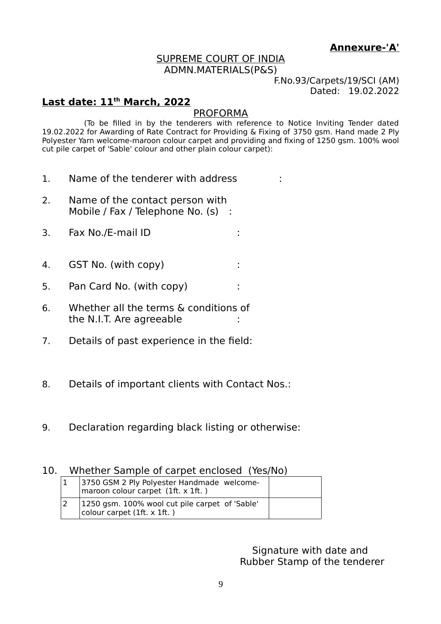# **Annexure-'A'**

#### SUPREME COURT OF INDIA ADMN.MATERIALS(P&S)

F.No.93/Carpets/19/SCI (AM) Dated: 19.02.2022

## **Last date: 11th March, 2022**

#### PROFORMA

(To be filled in by the tenderers with reference to Notice Inviting Tender dated 19.02.2022 for Awarding of Rate Contract for Providing & Fixing of 3750 gsm. Hand made 2 Ply Polyester Yarn welcome-maroon colour carpet and providing and fixing of 1250 gsm. 100% wool cut pile carpet of 'Sable' colour and other plain colour carpet):

- 1. Name of the tenderer with address  $\cdot$
- 2. Name of the contact person with Mobile / Fax / Telephone No. (s) :
- 3. Fax No./E-mail ID :
- 4. GST No. (with copy) :
- 5. Pan Card No. (with copy)
- 6. Whether all the terms & conditions of the N.I.T. Are agreeable :
- 7. Details of past experience in the field:
- 8. Details of important clients with Contact Nos.:
- 9. Declaration regarding black listing or otherwise:

### 10. Whether Sample of carpet enclosed (Yes/No)

| 3750 GSM 2 Ply Polyester Handmade welcome-<br>maroon colour carpet $(1ft. x 1ft.)$ |  |
|------------------------------------------------------------------------------------|--|
| 1250 gsm. 100% wool cut pile carpet of 'Sable'<br>colour carpet $(1ft. x 1ft.)$    |  |

Signature with date and Rubber Stamp of the tenderer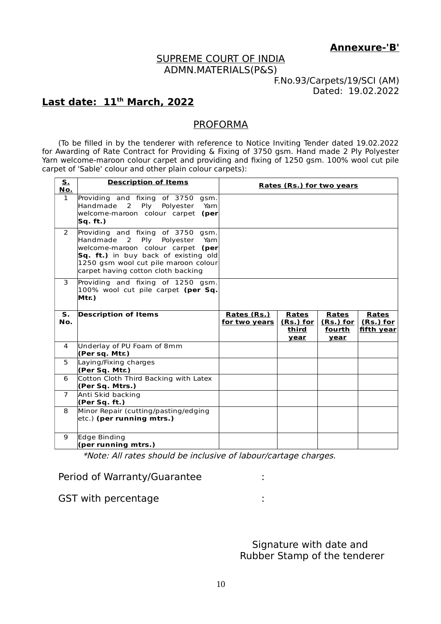**Annexure-'B'**

#### SUPREME COURT OF INDIA ADMN.MATERIALS(P&S)

F.No.93/Carpets/19/SCI (AM) Dated: 19.02.2022

# **Last date: 11th March, 2022**

#### PROFORMA

(To be filled in by the tenderer with reference to Notice Inviting Tender dated 19.02.2022 for Awarding of Rate Contract for Providing & Fixing of 3750 gsm. Hand made 2 Ply Polyester Yarn welcome-maroon colour carpet and providing and fixing of 1250 gsm. 100% wool cut pile carpet of 'Sable' colour and other plain colour carpets):

| <u>s.</u><br><u>No.</u> | <b>Description of Items</b>                                                                                                                                                                                                           | <b>Rates (Rs.) for two years</b> |                                            |                                                   |                                                |
|-------------------------|---------------------------------------------------------------------------------------------------------------------------------------------------------------------------------------------------------------------------------------|----------------------------------|--------------------------------------------|---------------------------------------------------|------------------------------------------------|
| $\mathbf{1}$            | Providing and fixing of 3750 gsm.<br>Handmade 2<br>Ply Polyester<br>Yam<br>welcome-maroon colour carpet (per<br>Sq. ft.)                                                                                                              |                                  |                                            |                                                   |                                                |
| $\mathcal{P}$           | Providing and fixing of 3750 gsm.<br>Handmade<br>2<br>Ply Polyester<br>Yam<br>welcome-maroon colour carpet (per<br>Sq. ft.) in buy back of existing old<br>1250 gsm wool cut pile maroon colour<br>carpet having cotton cloth backing |                                  |                                            |                                                   |                                                |
| 3                       | Providing and fixing of 1250 gsm.<br>100% wool cut pile carpet (per Sq.<br>Mtr.)                                                                                                                                                      |                                  |                                            |                                                   |                                                |
| S.<br>No.               | <b>Description of Items</b>                                                                                                                                                                                                           | Rates (Rs.)<br>for two years     | Rates<br><u>(Rs.) for</u><br>third<br>year | <b>Rates</b><br>$(Rs.)$ for $ $<br>fourth<br>year | <b>Rates</b><br><u>(Rs.) for</u><br>fifth year |
| $\overline{4}$          | Underlay of PU Foam of 8mm<br>(Per sq. Mtr.)                                                                                                                                                                                          |                                  |                                            |                                                   |                                                |
| 5                       | Laying/Fixing charges<br>(Per Sq. Mtr.)                                                                                                                                                                                               |                                  |                                            |                                                   |                                                |
| 6                       | Cotton Cloth Third Backing with Latex<br>(Per Sq. Mtrs.)                                                                                                                                                                              |                                  |                                            |                                                   |                                                |
| $\overline{7}$          | Anti Skid backing<br>(Per Sq. ft.)                                                                                                                                                                                                    |                                  |                                            |                                                   |                                                |
| 8                       | Minor Repair (cutting/pasting/edging<br>etc.) (per running mtrs.)                                                                                                                                                                     |                                  |                                            |                                                   |                                                |
| 9                       | Edge Binding<br>(per running mtrs.)                                                                                                                                                                                                   |                                  |                                            |                                                   |                                                |

\*Note: All rates should be inclusive of labour/cartage charges.

Period of Warranty/Guarantee :

GST with percentage in the set of the set of the set of the set of the set of the set of the set of the set of the set of the set of the set of the set of the set of the set of the set of the set of the set of the set of t

Signature with date and Rubber Stamp of the tenderer